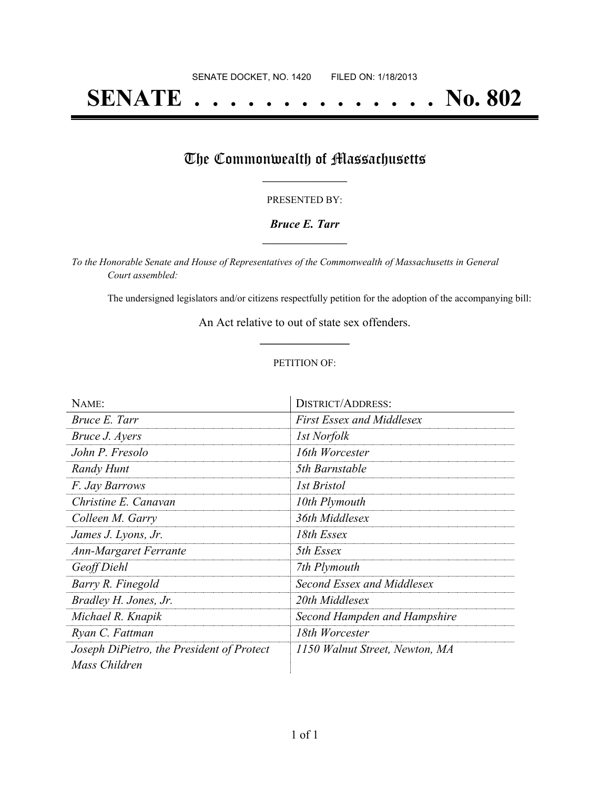# **SENATE . . . . . . . . . . . . . . No. 802**

## The Commonwealth of Massachusetts

#### PRESENTED BY:

#### *Bruce E. Tarr* **\_\_\_\_\_\_\_\_\_\_\_\_\_\_\_\_\_**

*To the Honorable Senate and House of Representatives of the Commonwealth of Massachusetts in General Court assembled:*

The undersigned legislators and/or citizens respectfully petition for the adoption of the accompanying bill:

An Act relative to out of state sex offenders. **\_\_\_\_\_\_\_\_\_\_\_\_\_\_\_**

#### PETITION OF:

| NAME:                                     | <b>DISTRICT/ADDRESS:</b>         |
|-------------------------------------------|----------------------------------|
| Bruce E. Tarr                             | <b>First Essex and Middlesex</b> |
| <i>Bruce J. Ayers</i>                     | <i>Ist Norfolk</i>               |
| John P. Fresolo                           | 16th Worcester                   |
| Randy Hunt                                | 5th Barnstable                   |
| F. Jay Barrows                            | 1st Bristol                      |
| Christine E. Canavan                      | 10th Plymouth                    |
| Colleen M. Garry                          | 36th Middlesex                   |
| James J. Lyons, Jr.                       | 18th Essex                       |
| <b>Ann-Margaret Ferrante</b>              | 5th Essex                        |
| Geoff Diehl                               | 7th Plymouth                     |
| Barry R. Finegold                         | Second Essex and Middlesex       |
| Bradley H. Jones, Jr.                     | 20th Middlesex                   |
| Michael R. Knapik                         | Second Hampden and Hampshire     |
| Ryan C. Fattman                           | 18th Worcester                   |
| Joseph DiPietro, the President of Protect | 1150 Walnut Street, Newton, MA   |
| Mass Children                             |                                  |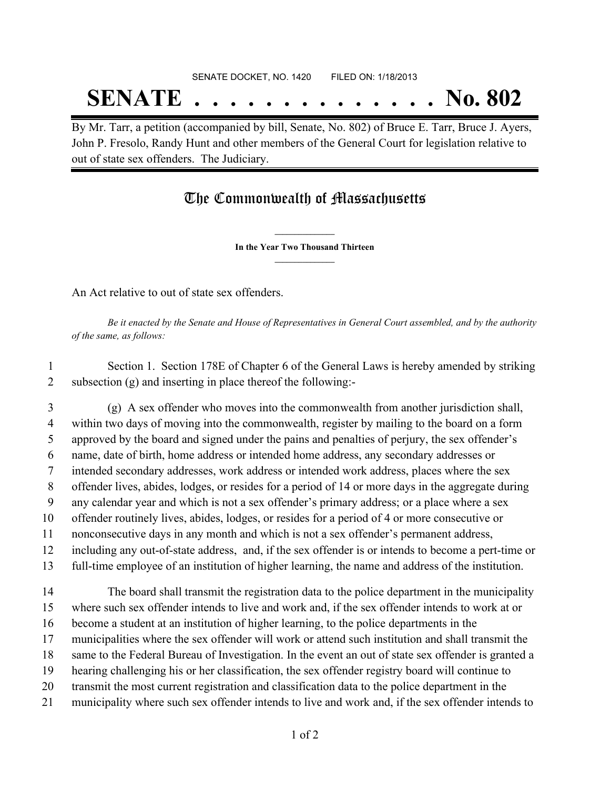# SENATE DOCKET, NO. 1420 FILED ON: 1/18/2013 **SENATE . . . . . . . . . . . . . . No. 802**

By Mr. Tarr, a petition (accompanied by bill, Senate, No. 802) of Bruce E. Tarr, Bruce J. Ayers, John P. Fresolo, Randy Hunt and other members of the General Court for legislation relative to out of state sex offenders. The Judiciary.

### The Commonwealth of Massachusetts

**\_\_\_\_\_\_\_\_\_\_\_\_\_\_\_ In the Year Two Thousand Thirteen \_\_\_\_\_\_\_\_\_\_\_\_\_\_\_**

An Act relative to out of state sex offenders.

Be it enacted by the Senate and House of Representatives in General Court assembled, and by the authority *of the same, as follows:*

 Section 1. Section 178E of Chapter 6 of the General Laws is hereby amended by striking subsection (g) and inserting in place thereof the following:-

 (g) A sex offender who moves into the commonwealth from another jurisdiction shall, within two days of moving into the commonwealth, register by mailing to the board on a form approved by the board and signed under the pains and penalties of perjury, the sex offender's name, date of birth, home address or intended home address, any secondary addresses or intended secondary addresses, work address or intended work address, places where the sex offender lives, abides, lodges, or resides for a period of 14 or more days in the aggregate during any calendar year and which is not a sex offender's primary address; or a place where a sex offender routinely lives, abides, lodges, or resides for a period of 4 or more consecutive or nonconsecutive days in any month and which is not a sex offender's permanent address, including any out-of-state address, and, if the sex offender is or intends to become a pert-time or full-time employee of an institution of higher learning, the name and address of the institution. The board shall transmit the registration data to the police department in the municipality where such sex offender intends to live and work and, if the sex offender intends to work at or become a student at an institution of higher learning, to the police departments in the municipalities where the sex offender will work or attend such institution and shall transmit the same to the Federal Bureau of Investigation. In the event an out of state sex offender is granted a hearing challenging his or her classification, the sex offender registry board will continue to transmit the most current registration and classification data to the police department in the municipality where such sex offender intends to live and work and, if the sex offender intends to